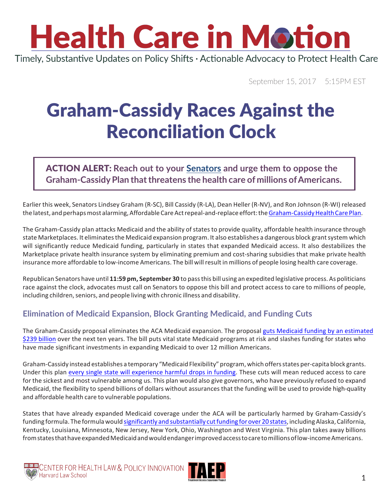# **Health Care in Motion**

Timely, Substantive Updates on Policy Shifts · Actionable Advocacy to Protect Health Care

September 15, 2017 5:15PM EST

### Graham-Cassidy Races Against the Reconciliation Clock

### ACTION ALERT: **Reach out to your Senators and urge them to oppose the Graham-CassidyPlan thatthreatens the health care of millions ofAmericans.**

Earlier this week, Senators Lindsey Graham (R-SC), Bill Cassidy (R-LA), Dean Heller (R-NV), and Ron Johnson (R-WI) released the latest, and perhaps most alarming, Affordable Care Act repeal-and-replace effort: the Graham-Cassidy Health Care Plan.

The Graham-Cassidy plan attacks Medicaid and the ability of states to provide quality, affordable health insurance through state Marketplaces. It eliminates the Medicaid expansion program. It also establishes a dangerous block grant system which will significantly reduce Medicaid funding, particularly in states that expanded Medicaid access. It also destabilizes the Marketplace private health insurance system by eliminating premium and cost-sharing subsidies that make private health insurance more affordable to low-income Americans. The bill will result in millions of people losing health care coverage.

Republican Senators have until **11:59 pm, September 30** to passthis bill using an expedited legislative process. As politicians race against the clock, advocates must call on Senators to oppose this bill and protect access to care to millions of people, including children, seniors, and people living with chronic illness and disability.

### **Elimination of Medicaid Expansion, Block Granting Medicaid, and Funding Cuts**

The Graham-Cassidy proposal eliminates the ACA Medicaid expansion. The proposal guts Medicaid funding by an estimated \$239 billion over the next ten years. The bill puts vital state Medicaid programs at risk and slashes funding for states who have made significant investments in expanding Medicaid to over 12 million Americans.

Graham-Cassidy instead establishes a temporary "Medicaid Flexibility" program, which offers states per-capita block grants. Under this plan every single state will experience harmful drops in funding. These cuts will mean reduced access to care for the sickest and most vulnerable among us. This plan would also give governors, who have previously refused to expand Medicaid, the flexibility to spend billions of dollars without assurances that the funding will be used to provide high-quality and affordable health care to vulnerable populations.

States that have already expanded Medicaid coverage under the ACA will be particularly harmed by Graham-Cassidy's funding formula. The formula would significantly and substantially cut funding for over 20 states, including Alaska, California, Kentucky, Louisiana, Minnesota, New Jersey, New York, Ohio, Washington and West Virginia. This plan takes away billions from states that have expanded Medicaid and would endanger improved access to care to millions of low-income Americans.